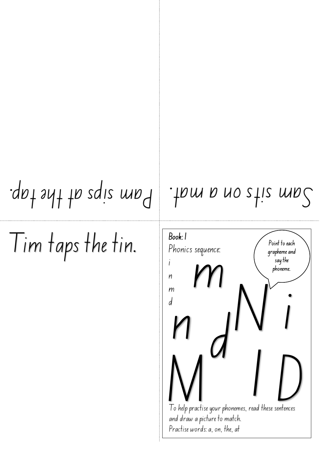## $S$ ant satt and the matter of the tap.

Tim taps the tin.

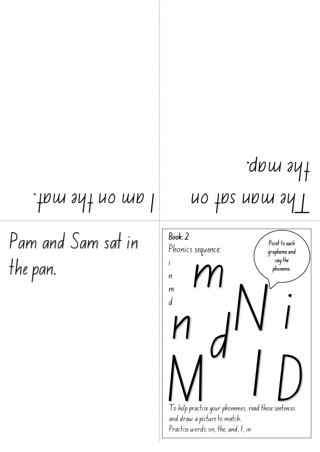### . Thm sat on I am on the mat.

Pam and Sam sat in the pan.

# the map.

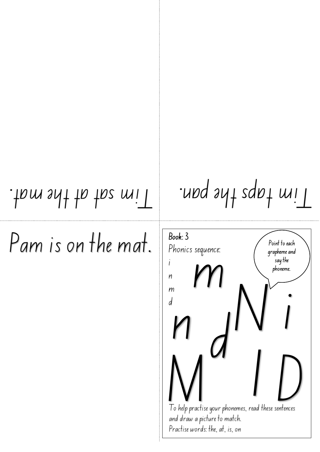Pam is on the mat.

Tim taps the pan. I have not the mat.